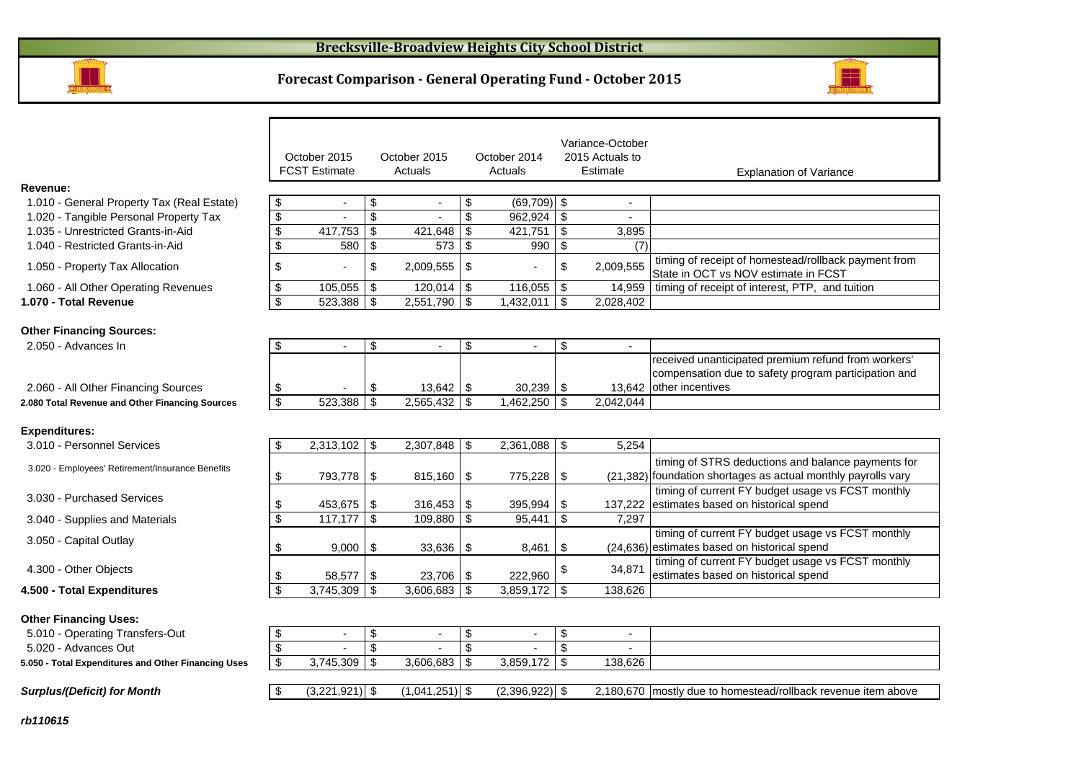

# **Forecast Comparison - General Operating Fund - October 2015**



|                                                     |                               |                      |                           |                  |                         |                          |                           | Variance-October |                                                                                                                    |
|-----------------------------------------------------|-------------------------------|----------------------|---------------------------|------------------|-------------------------|--------------------------|---------------------------|------------------|--------------------------------------------------------------------------------------------------------------------|
|                                                     |                               | October 2015         |                           | October 2015     |                         | October 2014             |                           | 2015 Actuals to  |                                                                                                                    |
|                                                     |                               | <b>FCST Estimate</b> |                           | Actuals          |                         | Actuals                  |                           | Estimate         | <b>Explanation of Variance</b>                                                                                     |
| Revenue:                                            |                               |                      |                           |                  |                         |                          |                           |                  |                                                                                                                    |
| 1.010 - General Property Tax (Real Estate)          | \$                            | $\sim$               | \$                        | $\sim$           | \$                      | $(69, 709)$ \$           |                           | $\overline{a}$   |                                                                                                                    |
| 1.020 - Tangible Personal Property Tax              | \$                            | $\overline{a}$       | $\boldsymbol{\mathsf{S}}$ | $\sim$           | \$                      | $962,924$ \$             |                           | $\blacksquare$   |                                                                                                                    |
| 1.035 - Unrestricted Grants-in-Aid                  | \$                            | 417,753              | \$                        | 421.648          | \$                      | 421,751                  | \$                        | 3.895            |                                                                                                                    |
| 1.040 - Restricted Grants-in-Aid                    | \$                            | 580                  | \$                        | 573              | \$                      | 990                      | \$                        | (7)              |                                                                                                                    |
| 1.050 - Property Tax Allocation                     | \$                            |                      | \$                        | $2,009,555$ \\$  |                         |                          | \$                        | 2,009,555        | timing of receipt of homestead/rollback payment from<br>State in OCT vs NOV estimate in FCST                       |
| 1.060 - All Other Operating Revenues                | \$                            | 105,055              | \$                        | 120,014          | $\vert$ \$              | $116,055$ \\$            |                           | 14,959           | timing of receipt of interest, PTP, and tuition                                                                    |
| 1.070 - Total Revenue                               | \$                            | 523,388              | \$                        | 2,551,790        | $\bullet$               | 1,432,011                | \$                        | 2,028,402        |                                                                                                                    |
|                                                     |                               |                      |                           |                  |                         |                          |                           |                  |                                                                                                                    |
| <b>Other Financing Sources:</b>                     |                               |                      |                           |                  |                         |                          |                           |                  |                                                                                                                    |
| 2.050 - Advances In                                 | \$                            | $\blacksquare$       | \$                        | $\blacksquare$   | \$                      | $\overline{\phantom{a}}$ | \$                        | $\blacksquare$   |                                                                                                                    |
|                                                     |                               |                      |                           |                  |                         |                          |                           |                  | received unanticipated premium refund from workers'                                                                |
|                                                     |                               |                      |                           |                  |                         |                          |                           |                  | compensation due to safety program participation and<br>13,642 other incentives                                    |
| 2.060 - All Other Financing Sources                 | \$<br>$\overline{\mathbf{s}}$ |                      | \$<br>\$                  | $13,642$ \$      | $\overline{\mathbf{3}}$ | $30,239$ \$              | \$                        |                  |                                                                                                                    |
| 2.080 Total Revenue and Other Financing Sources     |                               | 523,388              |                           | 2,565,432        |                         | 1,462,250                |                           | 2,042,044        |                                                                                                                    |
| <b>Expenditures:</b>                                |                               |                      |                           |                  |                         |                          |                           |                  |                                                                                                                    |
| 3.010 - Personnel Services                          | \$                            | 2,313,102            | \$                        | $2,307,848$ \$   |                         | $2,361,088$ \$           |                           | 5,254            |                                                                                                                    |
|                                                     |                               |                      |                           |                  |                         |                          |                           |                  |                                                                                                                    |
| 3.020 - Employees' Retirement/Insurance Benefits    |                               |                      |                           |                  |                         |                          |                           |                  | timing of STRS deductions and balance payments for                                                                 |
|                                                     | \$                            | 793,778              | \$                        | 815,160          | $\sqrt{3}$              | 775,228                  | \$                        |                  | (21,382) foundation shortages as actual monthly payrolls vary<br>timing of current FY budget usage vs FCST monthly |
| 3.030 - Purchased Services                          | \$                            | 453,675              | \$                        | 316,453          | \$                      | 395,994                  | \$                        | 137,222          | estimates based on historical spend                                                                                |
| 3.040 - Supplies and Materials                      | \$                            | 117,177              | \$                        | 109,880          | $\mathbf{s}$            | 95,441                   | \$                        | 7.297            |                                                                                                                    |
|                                                     |                               |                      |                           |                  |                         |                          |                           |                  | timing of current FY budget usage vs FCST monthly                                                                  |
| 3.050 - Capital Outlay                              | \$                            | 9,000                | \$                        | 33,636           | \$                      | 8,461                    | \$                        |                  | (24,636) estimates based on historical spend                                                                       |
|                                                     |                               |                      |                           |                  |                         |                          |                           |                  | timing of current FY budget usage vs FCST monthly                                                                  |
| 4.300 - Other Objects                               | \$                            | 58,577               | \$                        | 23,706           | <b>\$</b>               | 222,960                  | \$                        | 34,871           | estimates based on historical spend                                                                                |
| 4.500 - Total Expenditures                          | \$                            | 3,745,309            | \$                        | $3,606,683$ \$   |                         | $3,859,172$ \$           |                           | 138,626          |                                                                                                                    |
|                                                     |                               |                      |                           |                  |                         |                          |                           |                  |                                                                                                                    |
| <b>Other Financing Uses:</b>                        |                               |                      |                           |                  |                         |                          |                           |                  |                                                                                                                    |
| 5.010 - Operating Transfers-Out                     | \$                            | $\blacksquare$       | \$                        | $\sim$           | \$                      |                          | \$                        | $\blacksquare$   |                                                                                                                    |
| 5.020 - Advances Out                                | \$                            |                      | $\overline{\mathbf{s}}$   |                  | $\overline{\mathbf{s}}$ |                          | $\overline{\mathbf{s}}$   |                  |                                                                                                                    |
| 5.050 - Total Expenditures and Other Financing Uses | \$                            | 3,745,309            | $\boldsymbol{\mathsf{S}}$ | 3,606,683        | $\sqrt[6]{\frac{1}{2}}$ | 3,859,172                | $\boldsymbol{\mathsf{S}}$ | 138,626          |                                                                                                                    |
|                                                     |                               |                      |                           |                  |                         |                          |                           |                  |                                                                                                                    |
| <b>Surplus/(Deficit) for Month</b>                  | - \$                          | $(3,221,921)$ \$     |                           | $(1,041,251)$ \$ |                         | $(2,396,922)$ \$         |                           |                  | 2,180,670 mostly due to homestead/rollback revenue item above                                                      |
|                                                     |                               |                      |                           |                  |                         |                          |                           |                  |                                                                                                                    |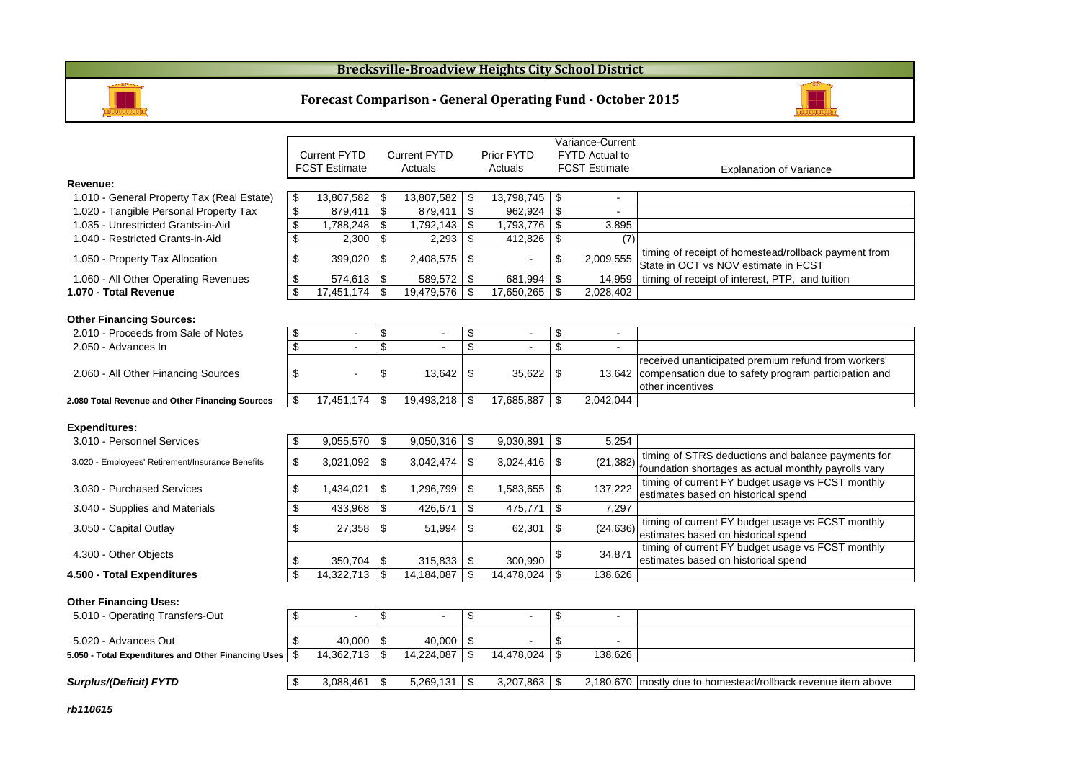#### **Brecksville-Broadview Heights City School District**



#### **Forecast Comparison - General Operating Fund - October 2015**



|                                                     |                         |                      |              |                     |                | Variance-Current |    |                       |                                                                                              |
|-----------------------------------------------------|-------------------------|----------------------|--------------|---------------------|----------------|------------------|----|-----------------------|----------------------------------------------------------------------------------------------|
|                                                     |                         | <b>Current FYTD</b>  |              | <b>Current FYTD</b> |                | Prior FYTD       |    | <b>FYTD Actual to</b> |                                                                                              |
|                                                     |                         | <b>FCST Estimate</b> |              | Actuals             |                | Actuals          |    | <b>FCST Estimate</b>  | <b>Explanation of Variance</b>                                                               |
| Revenue:                                            |                         |                      |              |                     |                |                  |    |                       |                                                                                              |
| 1.010 - General Property Tax (Real Estate)          | \$                      | 13,807,582           | \$           | 13,807,582          | -\$            | 13,798,745 \$    |    | $\mathbf{r}$          |                                                                                              |
| 1.020 - Tangible Personal Property Tax              | \$                      | 879.411              | \$           | 879.411             | -\$            | $962.924$ \$     |    | $\sim$                |                                                                                              |
| 1.035 - Unrestricted Grants-in-Aid                  | \$                      | 1,788,248            | \$           | 1,792,143           | \$             | 1,793,776        | \$ | 3,895                 |                                                                                              |
| 1.040 - Restricted Grants-in-Aid                    | $\overline{\mathbf{e}}$ | 2.300                | \$           | 2.293               | $\mathfrak{s}$ | 412,826          | \$ | (7)                   |                                                                                              |
| 1.050 - Property Tax Allocation                     | \$                      | 399,020              | \$           | 2,408,575           | \$             | $\overline{a}$   | \$ | 2,009,555             | timing of receipt of homestead/rollback payment from<br>State in OCT vs NOV estimate in FCST |
| 1.060 - All Other Operating Revenues                | \$                      | 574,613              | \$           | 589,572             | -\$            | 681,994          | \$ | 14,959                | timing of receipt of interest, PTP, and tuition                                              |
| 1.070 - Total Revenue                               | \$                      | $17,451,174$ \$      |              | 19,479,576          | \$             | 17,650,265       | \$ | 2,028,402             |                                                                                              |
|                                                     |                         |                      |              |                     |                |                  |    |                       |                                                                                              |
| <b>Other Financing Sources:</b>                     |                         |                      |              |                     |                |                  |    |                       |                                                                                              |
| 2.010 - Proceeds from Sale of Notes                 | \$                      |                      | \$           | $\sim$              | \$             | $\sim$           | \$ | $\mathbf{r}$          |                                                                                              |
| 2.050 - Advances In                                 | \$                      | $\blacksquare$       | \$           | $\sim$              | \$             | $\overline{a}$   | \$ | $\sim$                |                                                                                              |
|                                                     |                         |                      |              |                     |                |                  |    |                       | received unanticipated premium refund from workers'                                          |
| 2.060 - All Other Financing Sources                 | \$                      |                      | \$           | 13,642              | \$             | 35,622           | \$ |                       | 13,642 compensation due to safety program participation and                                  |
|                                                     |                         |                      |              |                     |                |                  |    |                       | other incentives                                                                             |
| 2.080 Total Revenue and Other Financing Sources     | \$                      | 17,451,174           | \$           | 19,493,218          | -\$            | 17,685,887       | \$ | 2.042.044             |                                                                                              |
|                                                     |                         |                      |              |                     |                |                  |    |                       |                                                                                              |
| <b>Expenditures:</b>                                |                         |                      |              |                     |                |                  |    |                       |                                                                                              |
| 3.010 - Personnel Services                          | \$                      | $9,055,570$ \$       |              | 9,050,316           | -\$            | 9,030,891        | \$ | 5,254                 |                                                                                              |
| 3.020 - Employees' Retirement/Insurance Benefits    | \$                      | 3,021,092            | \$           | 3,042,474           | \$             | $3,024,416$ \$   |    | (21, 382)             | timing of STRS deductions and balance payments for                                           |
|                                                     |                         |                      |              |                     |                |                  |    |                       | foundation shortages as actual monthly payrolls vary                                         |
| 3.030 - Purchased Services                          | \$                      | 1,434,021            | \$           | 1,296,799           | \$             | 1,583,655        | \$ | 137,222               | timing of current FY budget usage vs FCST monthly                                            |
|                                                     |                         |                      |              |                     |                |                  |    |                       | estimates based on historical spend                                                          |
| 3.040 - Supplies and Materials                      | \$                      | 433,968              | \$           | 426,671             | \$             | 475,771          | \$ | 7,297                 |                                                                                              |
| 3.050 - Capital Outlay                              | \$                      | 27,358               | \$           | 51,994              | \$             | 62,301           | \$ | (24, 636)             | timing of current FY budget usage vs FCST monthly                                            |
|                                                     |                         |                      |              |                     |                |                  |    |                       | estimates based on historical spend                                                          |
| 4.300 - Other Objects                               |                         |                      |              |                     |                |                  | \$ | 34,871                | timing of current FY budget usage vs FCST monthly                                            |
|                                                     | \$                      | $350,704$ \$         |              | 315,833             | \$             | 300,990          |    |                       | estimates based on historical spend                                                          |
| 4.500 - Total Expenditures                          | \$                      | 14,322,713           | $\mathbb{S}$ | 14,184,087          | \$             | 14,478,024 \$    |    | 138,626               |                                                                                              |
|                                                     |                         |                      |              |                     |                |                  |    |                       |                                                                                              |
| <b>Other Financing Uses:</b>                        |                         |                      |              |                     |                |                  |    |                       |                                                                                              |
| 5.010 - Operating Transfers-Out                     | \$                      | $\sim$               | \$           | $\blacksquare$      | \$             | $\blacksquare$   | \$ | $\blacksquare$        |                                                                                              |
| 5.020 - Advances Out                                | \$                      | 40.000               | \$           | 40.000              | \$             |                  | \$ |                       |                                                                                              |
|                                                     | \$                      | 14,362,713           | \$           | 14,224,087          | \$             | 14,478,024       | \$ | 138,626               |                                                                                              |
| 5.050 - Total Expenditures and Other Financing Uses |                         |                      |              |                     |                |                  |    |                       |                                                                                              |
| Surplus/(Deficit) FYTD                              | \$                      | $3,088,461$ \$       |              | 5,269,131           | \$             | $3,207,863$ \$   |    |                       | 2,180,670 mostly due to homestead/rollback revenue item above                                |
|                                                     |                         |                      |              |                     |                |                  |    |                       |                                                                                              |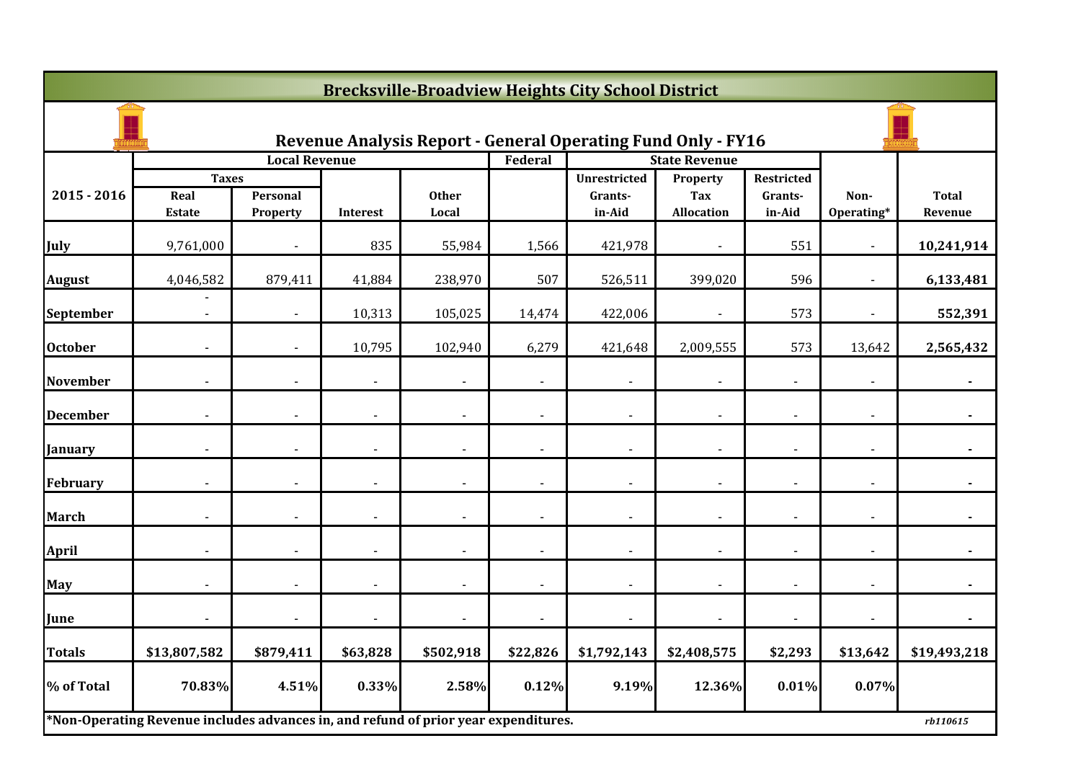|                 | <b>Brecksville-Broadview Heights City School District</b>                           |                      |                |                       |                          |                                                                     |                          |                   |                    |                         |  |  |  |
|-----------------|-------------------------------------------------------------------------------------|----------------------|----------------|-----------------------|--------------------------|---------------------------------------------------------------------|--------------------------|-------------------|--------------------|-------------------------|--|--|--|
|                 |                                                                                     |                      |                |                       |                          | <b>Revenue Analysis Report - General Operating Fund Only - FY16</b> |                          |                   |                    |                         |  |  |  |
|                 |                                                                                     | <b>Local Revenue</b> |                |                       | Federal                  |                                                                     | <b>State Revenue</b>     |                   |                    |                         |  |  |  |
|                 | <b>Taxes</b>                                                                        |                      |                |                       |                          | <b>Unrestricted</b>                                                 | Property                 | Restricted        |                    |                         |  |  |  |
| $2015 - 2016$   | Real<br><b>Estate</b>                                                               | Personal<br>Property | Interest       | <b>Other</b><br>Local |                          | Grants-<br>in-Aid                                                   | Tax<br><b>Allocation</b> | Grants-<br>in-Aid | Non-<br>Operating* | <b>Total</b><br>Revenue |  |  |  |
| July            | 9,761,000                                                                           |                      | 835            | 55,984                | 1,566                    | 421,978                                                             |                          | 551               |                    | 10,241,914              |  |  |  |
| <b>August</b>   | 4,046,582                                                                           | 879,411              | 41,884         | 238,970               | 507                      | 526,511                                                             | 399,020                  | 596               |                    | 6,133,481               |  |  |  |
| September       | $\blacksquare$                                                                      | $\blacksquare$       | 10,313         | 105,025               | 14,474                   | 422,006                                                             | $\blacksquare$           | 573               | $\sim$             | 552,391                 |  |  |  |
| <b>October</b>  |                                                                                     |                      | 10,795         | 102,940               | 6,279                    | 421,648                                                             | 2,009,555                | 573               | 13,642             | 2,565,432               |  |  |  |
| <b>November</b> |                                                                                     |                      | $\blacksquare$ |                       |                          | $\overline{a}$                                                      |                          |                   |                    |                         |  |  |  |
| <b>December</b> |                                                                                     |                      |                |                       |                          |                                                                     |                          |                   |                    |                         |  |  |  |
| <b>January</b>  |                                                                                     |                      |                |                       |                          |                                                                     |                          |                   |                    |                         |  |  |  |
| February        | $\blacksquare$                                                                      | $\blacksquare$       | $\blacksquare$ | $\blacksquare$        | $\blacksquare$           | $\overline{\phantom{a}}$                                            | $\blacksquare$           | $\blacksquare$    | $\sim$             | $\blacksquare$          |  |  |  |
| <b>March</b>    |                                                                                     |                      |                |                       | $\overline{\phantom{a}}$ |                                                                     |                          |                   |                    |                         |  |  |  |
| <b>April</b>    |                                                                                     |                      | $\overline{a}$ |                       | $\overline{a}$           | $\overline{a}$                                                      |                          |                   |                    |                         |  |  |  |
| May             |                                                                                     |                      | $\blacksquare$ |                       |                          | $\overline{a}$                                                      |                          |                   |                    |                         |  |  |  |
| June            |                                                                                     |                      | $\blacksquare$ |                       |                          | $\overline{\phantom{a}}$                                            |                          |                   |                    |                         |  |  |  |
| <b>Totals</b>   | \$13,807,582                                                                        | \$879,411            | \$63,828       | \$502,918             | \$22,826                 | \$1,792,143                                                         | \$2,408,575              | \$2,293           | \$13,642           | \$19,493,218            |  |  |  |
| % of Total      | 70.83%                                                                              | 4.51%                | 0.33%          | 2.58%                 | 0.12%                    | 9.19%                                                               | 12.36%                   | 0.01%             | 0.07%              |                         |  |  |  |
|                 | *Non-Operating Revenue includes advances in, and refund of prior year expenditures. |                      |                |                       |                          |                                                                     |                          |                   |                    | rb110615                |  |  |  |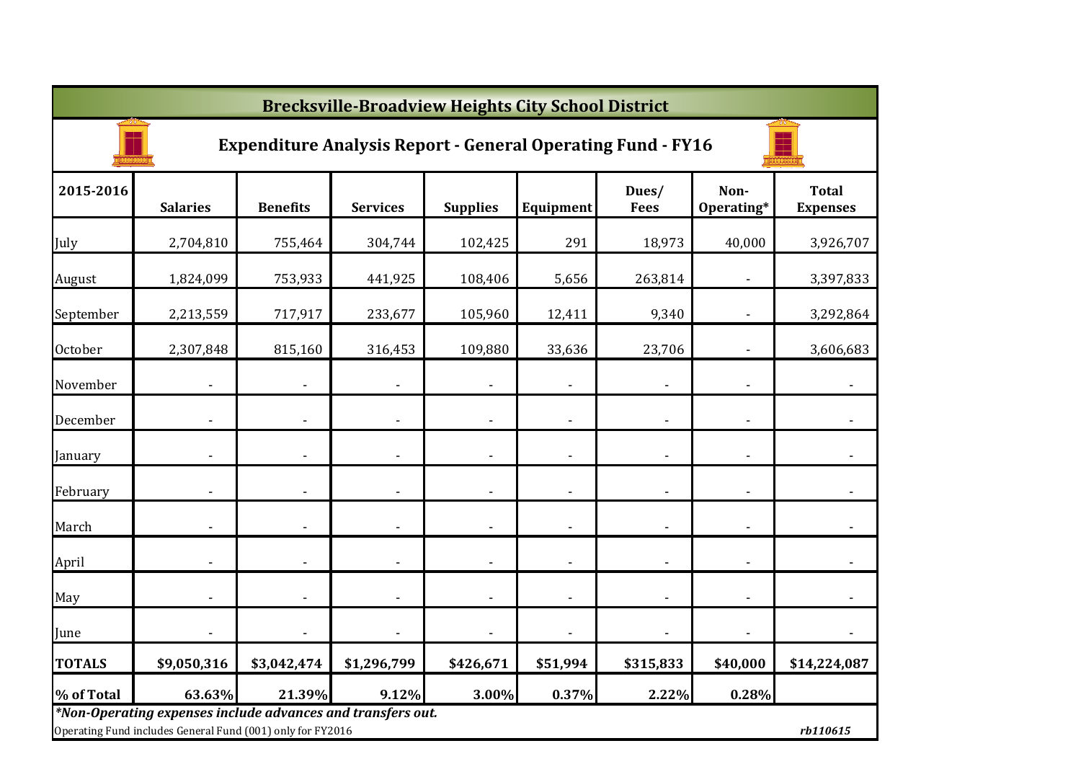|                | <b>Brecksville-Broadview Heights City School District</b>                                                                 |                 |                              |                          |                          |                      |                          |                                 |  |  |  |  |
|----------------|---------------------------------------------------------------------------------------------------------------------------|-----------------|------------------------------|--------------------------|--------------------------|----------------------|--------------------------|---------------------------------|--|--|--|--|
|                | <b>Expenditure Analysis Report - General Operating Fund - FY16</b>                                                        |                 |                              |                          |                          |                      |                          |                                 |  |  |  |  |
| 2015-2016      | <b>Salaries</b>                                                                                                           | <b>Benefits</b> | <b>Services</b>              | <b>Supplies</b>          | Equipment                | Dues/<br><b>Fees</b> | Non-<br>Operating*       | <b>Total</b><br><b>Expenses</b> |  |  |  |  |
| July           | 2,704,810                                                                                                                 | 755,464         | 304,744                      | 102,425                  | 291                      | 18,973               | 40,000                   | 3,926,707                       |  |  |  |  |
| August         | 1,824,099                                                                                                                 | 753,933         | 441,925                      | 108,406                  | 5,656                    | 263,814              |                          | 3,397,833                       |  |  |  |  |
| September      | 2,213,559                                                                                                                 | 717,917         | 233,677                      | 105,960                  | 12,411                   | 9,340                |                          | 3,292,864                       |  |  |  |  |
| <b>October</b> | 2,307,848                                                                                                                 | 815,160         | 316,453                      | 109,880                  | 33,636                   | 23,706               |                          | 3,606,683                       |  |  |  |  |
| November       |                                                                                                                           |                 |                              |                          |                          |                      |                          |                                 |  |  |  |  |
| December       |                                                                                                                           |                 | ٠                            |                          | $\overline{\phantom{a}}$ |                      | $\overline{\phantom{a}}$ |                                 |  |  |  |  |
| January        |                                                                                                                           |                 |                              |                          | $\overline{\phantom{a}}$ |                      |                          |                                 |  |  |  |  |
| February       |                                                                                                                           |                 | $\overline{\phantom{a}}$     | $\overline{\phantom{a}}$ | $\overline{\phantom{a}}$ |                      |                          |                                 |  |  |  |  |
| March          |                                                                                                                           |                 | $\qquad \qquad \blacksquare$ |                          | $\overline{\phantom{a}}$ |                      |                          |                                 |  |  |  |  |
| April          | $\overline{\phantom{a}}$                                                                                                  |                 | $\overline{\phantom{0}}$     | $\overline{\phantom{a}}$ | $\overline{\phantom{a}}$ |                      |                          | $\blacksquare$                  |  |  |  |  |
| May            | $\overline{\phantom{a}}$                                                                                                  |                 | ٠                            | $\overline{\phantom{a}}$ | $\overline{\phantom{a}}$ |                      |                          |                                 |  |  |  |  |
| June           |                                                                                                                           |                 | $\blacksquare$               | $\overline{\phantom{a}}$ | $\overline{a}$           |                      |                          | $\overline{\phantom{a}}$        |  |  |  |  |
| <b>TOTALS</b>  | \$9,050,316                                                                                                               | \$3,042,474     | \$1,296,799                  | \$426,671                | \$51,994                 | \$315,833            | \$40,000                 | \$14,224,087                    |  |  |  |  |
| % of Total     | 63.63%                                                                                                                    | 21.39%          | 9.12%                        | 3.00%                    | 0.37%                    | 2.22%                | 0.28%                    |                                 |  |  |  |  |
|                | *Non-Operating expenses include advances and transfers out.<br>Operating Fund includes General Fund (001) only for FY2016 |                 |                              |                          |                          |                      |                          | rb110615                        |  |  |  |  |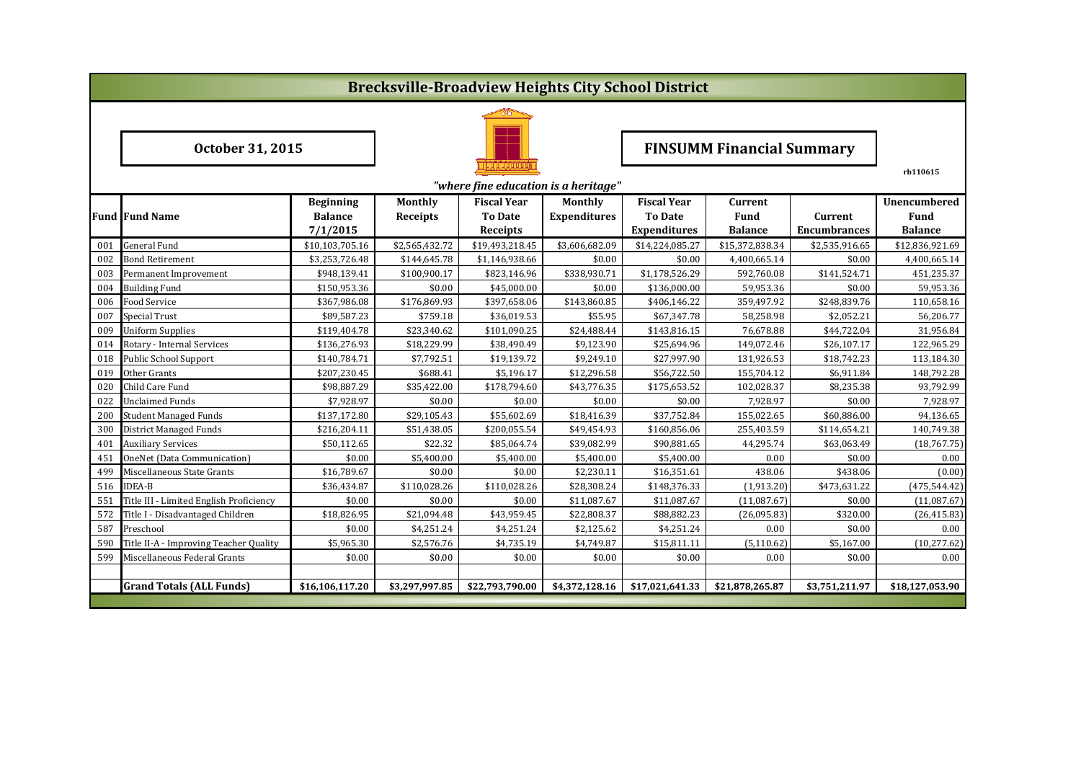|                                      | <b>Brecksville-Broadview Heights City School District</b> |                  |                 |                    |                     |                     |                                  |                     |                 |  |  |  |
|--------------------------------------|-----------------------------------------------------------|------------------|-----------------|--------------------|---------------------|---------------------|----------------------------------|---------------------|-----------------|--|--|--|
|                                      |                                                           |                  |                 |                    |                     |                     |                                  |                     |                 |  |  |  |
| October 31, 2015                     |                                                           |                  |                 |                    |                     |                     | <b>FINSUMM Financial Summary</b> |                     |                 |  |  |  |
|                                      |                                                           |                  |                 |                    |                     |                     |                                  |                     | rb110615        |  |  |  |
| "where fine education is a heritage" |                                                           |                  |                 |                    |                     |                     |                                  |                     |                 |  |  |  |
|                                      |                                                           | <b>Beginning</b> | Monthly         | <b>Fiscal Year</b> | Monthly             | <b>Fiscal Year</b>  | Current                          |                     | Unencumbered    |  |  |  |
|                                      | <b>Fund Fund Name</b>                                     | <b>Balance</b>   | <b>Receipts</b> | <b>To Date</b>     | <b>Expenditures</b> | <b>To Date</b>      | Fund                             | Current             | Fund            |  |  |  |
|                                      |                                                           | 7/1/2015         |                 | Receipts           |                     | <b>Expenditures</b> | <b>Balance</b>                   | <b>Encumbrances</b> | <b>Balance</b>  |  |  |  |
| 001                                  | <b>General Fund</b>                                       | \$10,103,705.16  | \$2,565,432.72  | \$19,493,218.45    | \$3,606,682.09      | \$14,224,085.27     | \$15,372,838.34                  | \$2,535,916.65      | \$12,836,921.69 |  |  |  |
| 002                                  | <b>Bond Retirement</b>                                    | \$3,253,726.48   | \$144,645.78    | \$1,146,938.66     | \$0.00              | \$0.00              | 4,400,665.14                     | \$0.00              | 4,400,665.14    |  |  |  |
| 003                                  | Permanent Improvement                                     | \$948.139.41     | \$100.900.17    | \$823,146.96       | \$338,930.71        | \$1,178,526.29      | 592.760.08                       | \$141,524.71        | 451,235.37      |  |  |  |
| 004                                  | <b>Building Fund</b>                                      | \$150,953.36     | \$0.00          | \$45,000.00        | \$0.00              | \$136,000.00        | 59,953.36                        | \$0.00              | 59,953.36       |  |  |  |
| 006                                  | Food Service                                              | \$367,986.08     | \$176,869.93    | \$397,658.06       | \$143,860.85        | \$406,146.22        | 359,497.92                       | \$248,839.76        | 110,658.16      |  |  |  |
| 007                                  | Special Trust                                             | \$89,587.23      | \$759.18        | \$36,019.53        | \$55.95             | \$67,347.78         | 58,258.98                        | \$2,052.21          | 56,206.77       |  |  |  |
| 009                                  | <b>Uniform Supplies</b>                                   | \$119,404.78     | \$23,340.62     | \$101,090.25       | \$24,488.44         | \$143,816.15        | 76,678.88                        | \$44,722.04         | 31,956.84       |  |  |  |
| 014                                  | Rotary - Internal Services                                | \$136,276.93     | \$18,229.99     | \$38,490.49        | \$9,123.90          | \$25,694.96         | 149,072.46                       | \$26,107.17         | 122,965.29      |  |  |  |
| 018                                  | <b>Public School Support</b>                              | \$140,784.71     | \$7,792.51      | \$19,139.72        | \$9,249.10          | \$27,997.90         | 131,926.53                       | \$18,742.23         | 113,184.30      |  |  |  |
| 019                                  | Other Grants                                              | \$207,230.45     | \$688.41        | \$5,196.17         | \$12,296.58         | \$56,722.50         | 155,704.12                       | \$6,911.84          | 148,792.28      |  |  |  |
| 020                                  | Child Care Fund                                           | \$98,887.29      | \$35,422.00     | \$178,794.60       | \$43,776.35         | \$175,653.52        | 102,028.37                       | \$8,235.38          | 93,792.99       |  |  |  |
| 022                                  | <b>Unclaimed Funds</b>                                    | \$7,928.97       | \$0.00          | \$0.00             | \$0.00              | \$0.00              | 7,928.97                         | \$0.00              | 7,928.97        |  |  |  |
| 200                                  | <b>Student Managed Funds</b>                              | \$137,172.80     | \$29,105.43     | \$55,602.69        | \$18,416.39         | \$37,752.84         | 155,022.65                       | \$60,886.00         | 94,136.65       |  |  |  |
| 300                                  | <b>District Managed Funds</b>                             | \$216,204.11     | \$51,438.05     | \$200,055.54       | \$49,454.93         | \$160,856.06        | 255,403.59                       | \$114,654.21        | 140,749.38      |  |  |  |
| 401                                  | <b>Auxiliary Services</b>                                 | \$50,112.65      | \$22.32         | \$85,064.74        | \$39,082.99         | \$90,881.65         | 44,295.74                        | \$63,063.49         | (18,767.75)     |  |  |  |
| 451                                  | OneNet (Data Communication)                               | \$0.00           | \$5,400.00      | \$5,400.00         | \$5,400.00          | \$5,400.00          | 0.00                             | \$0.00              | 0.00            |  |  |  |
| 499                                  | Miscellaneous State Grants                                | \$16,789.67      | \$0.00          | \$0.00             | \$2,230.11          | \$16,351.61         | 438.06                           | \$438.06            | (0.00)          |  |  |  |
| 516                                  | <b>IDEA-B</b>                                             | \$36,434.87      | \$110,028.26    | \$110,028.26       | \$28,308.24         | \$148,376.33        | (1,913.20)                       | \$473,631.22        | (475, 544.42)   |  |  |  |
| 551                                  | Title III - Limited English Proficiency                   | \$0.00           | \$0.00          | \$0.00             | \$11,087.67         | \$11,087.67         | (11,087.67)                      | \$0.00              | (11,087.67)     |  |  |  |
| 572                                  | Title I - Disadvantaged Children                          | \$18,826.95      | \$21,094.48     | \$43,959.45        | \$22,808.37         | \$88,882.23         | (26,095.83)                      | \$320.00            | (26, 415.83)    |  |  |  |
| 587                                  | Preschool                                                 | \$0.00           | \$4,251.24      | \$4,251.24         | \$2,125.62          | \$4,251.24          | 0.00                             | \$0.00              | 0.00            |  |  |  |
| 590                                  | Title II-A - Improving Teacher Quality                    | \$5,965.30       | \$2,576.76      | \$4,735.19         | \$4,749.87          | \$15,811.11         | (5, 110.62)                      | \$5,167.00          | (10, 277.62)    |  |  |  |
| 599                                  | Miscellaneous Federal Grants                              | \$0.00           | \$0.00          | \$0.00             | \$0.00              | \$0.00              | 0.00                             | \$0.00              | 0.00            |  |  |  |
|                                      |                                                           |                  |                 |                    |                     |                     |                                  |                     |                 |  |  |  |
|                                      | <b>Grand Totals (ALL Funds)</b>                           | \$16,106,117.20  | \$3,297,997.85  | \$22,793,790.00    | \$4,372,128.16      | \$17,021,641.33     | \$21,878,265.87                  | \$3,751,211.97      | \$18,127,053.90 |  |  |  |
|                                      |                                                           |                  |                 |                    |                     |                     |                                  |                     |                 |  |  |  |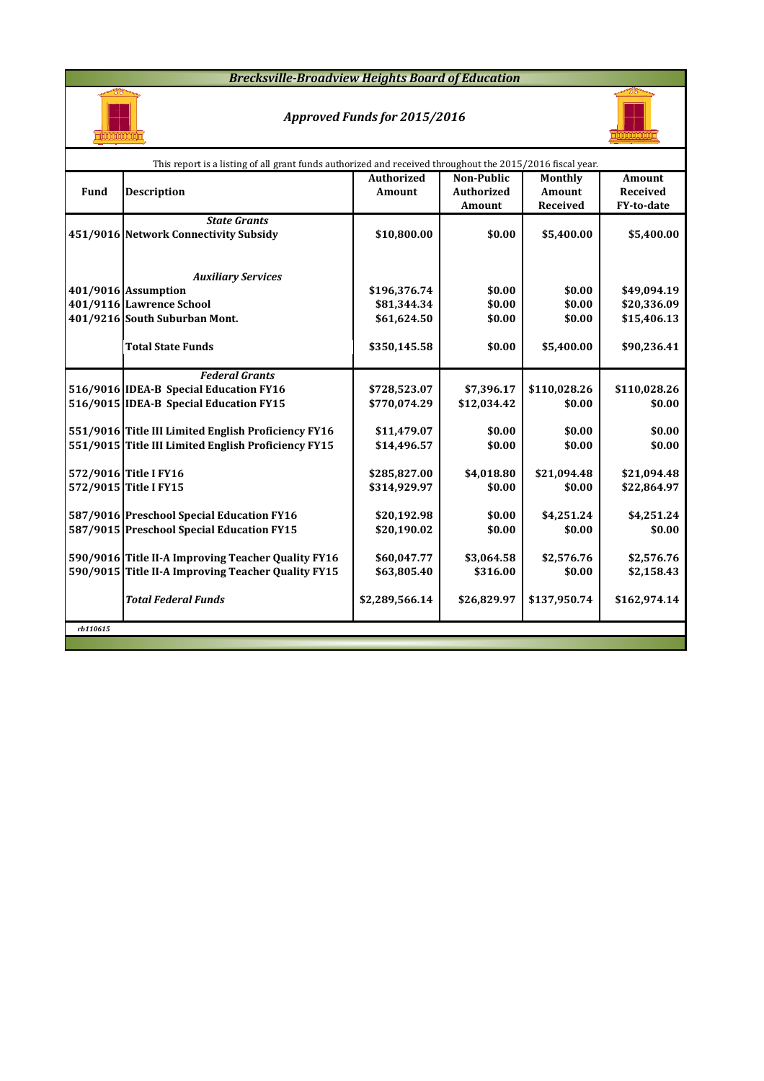### *Brecksville-Broadview Heights Board of Education*



## *Approved Funds for 2015/2016*



|          | This report is a listing of all grant funds authorized and received throughout the 2015/2016 fiscal year. |                   |                   |               |                 |  |  |  |  |  |  |  |
|----------|-----------------------------------------------------------------------------------------------------------|-------------------|-------------------|---------------|-----------------|--|--|--|--|--|--|--|
|          |                                                                                                           | <b>Authorized</b> | <b>Non-Public</b> | Monthly       | <b>Amount</b>   |  |  |  |  |  |  |  |
| Fund     | <b>Description</b>                                                                                        | Amount            | <b>Authorized</b> | <b>Amount</b> | <b>Received</b> |  |  |  |  |  |  |  |
|          |                                                                                                           |                   | Amount            | Received      | FY-to-date      |  |  |  |  |  |  |  |
|          | <b>State Grants</b>                                                                                       |                   |                   |               |                 |  |  |  |  |  |  |  |
|          | 451/9016 Network Connectivity Subsidy                                                                     | \$10,800.00       | \$0.00            | \$5,400.00    | \$5,400.00      |  |  |  |  |  |  |  |
|          |                                                                                                           |                   |                   |               |                 |  |  |  |  |  |  |  |
|          |                                                                                                           |                   |                   |               |                 |  |  |  |  |  |  |  |
|          | <b>Auxiliary Services</b>                                                                                 |                   |                   |               |                 |  |  |  |  |  |  |  |
|          | 401/9016 Assumption                                                                                       | \$196,376.74      | \$0.00            | \$0.00        | \$49,094.19     |  |  |  |  |  |  |  |
|          | 401/9116 Lawrence School                                                                                  | \$81,344.34       | \$0.00            | \$0.00        | \$20,336.09     |  |  |  |  |  |  |  |
|          | 401/9216 South Suburban Mont.                                                                             | \$61,624.50       | \$0.00            | \$0.00        | \$15,406.13     |  |  |  |  |  |  |  |
|          |                                                                                                           |                   |                   |               |                 |  |  |  |  |  |  |  |
|          | <b>Total State Funds</b>                                                                                  | \$350,145.58      | \$0.00            | \$5,400.00    | \$90,236.41     |  |  |  |  |  |  |  |
|          | <b>Federal Grants</b>                                                                                     |                   |                   |               |                 |  |  |  |  |  |  |  |
|          | 516/9016 IDEA-B Special Education FY16                                                                    | \$728,523.07      | \$7,396.17        | \$110,028.26  | \$110,028.26    |  |  |  |  |  |  |  |
|          | 516/9015 IDEA-B Special Education FY15                                                                    | \$770,074.29      | \$12,034.42       | \$0.00        | \$0.00          |  |  |  |  |  |  |  |
|          |                                                                                                           |                   |                   |               |                 |  |  |  |  |  |  |  |
|          | 551/9016 Title III Limited English Proficiency FY16                                                       | \$11,479.07       | \$0.00            | \$0.00        | \$0.00          |  |  |  |  |  |  |  |
|          | 551/9015 Title III Limited English Proficiency FY15                                                       | \$14,496.57       | \$0.00            | \$0.00        | \$0.00          |  |  |  |  |  |  |  |
|          |                                                                                                           |                   |                   |               |                 |  |  |  |  |  |  |  |
|          | 572/9016 Title I FY16                                                                                     | \$285,827.00      | \$4,018.80        | \$21,094.48   | \$21,094.48     |  |  |  |  |  |  |  |
|          | 572/9015 Title I FY15                                                                                     | \$314,929.97      | \$0.00            | \$0.00        | \$22,864.97     |  |  |  |  |  |  |  |
|          |                                                                                                           |                   |                   |               |                 |  |  |  |  |  |  |  |
|          | 587/9016 Preschool Special Education FY16                                                                 | \$20,192.98       | \$0.00            | \$4,251.24    | \$4,251.24      |  |  |  |  |  |  |  |
|          | 587/9015 Preschool Special Education FY15                                                                 | \$20,190.02       | \$0.00            | \$0.00        | \$0.00          |  |  |  |  |  |  |  |
|          |                                                                                                           |                   |                   |               |                 |  |  |  |  |  |  |  |
|          | 590/9016 Title II-A Improving Teacher Quality FY16                                                        | \$60,047.77       | \$3,064.58        | \$2,576.76    | \$2,576.76      |  |  |  |  |  |  |  |
|          | 590/9015 Title II-A Improving Teacher Quality FY15                                                        | \$63,805.40       | \$316.00          | \$0.00        | \$2,158.43      |  |  |  |  |  |  |  |
|          |                                                                                                           |                   |                   |               |                 |  |  |  |  |  |  |  |
|          | <b>Total Federal Funds</b>                                                                                | \$2,289,566.14    | \$26,829.97       | \$137,950.74  | \$162,974.14    |  |  |  |  |  |  |  |
|          |                                                                                                           |                   |                   |               |                 |  |  |  |  |  |  |  |
| rb110615 |                                                                                                           |                   |                   |               |                 |  |  |  |  |  |  |  |
|          |                                                                                                           |                   |                   |               |                 |  |  |  |  |  |  |  |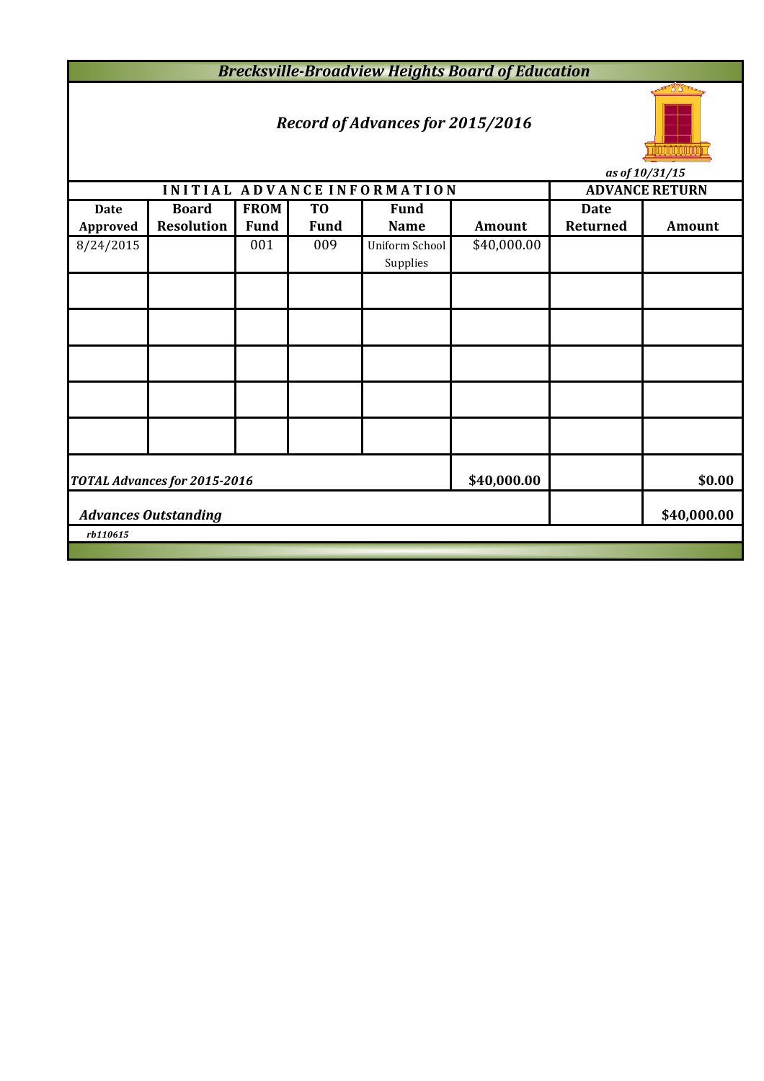*Brecksville-Broadview Heights Board of Education*

# *Record of Advances for 2015/2016*



*as of 10/31/15*

|             |                              |             |                | INITIAL ADVANCE INFORMATION |             | <b>ADVANCE RETURN</b> |               |  |  |  |
|-------------|------------------------------|-------------|----------------|-----------------------------|-------------|-----------------------|---------------|--|--|--|
| <b>Date</b> | <b>Board</b>                 | <b>FROM</b> | T <sub>0</sub> | <b>Fund</b>                 |             | <b>Date</b>           |               |  |  |  |
| Approved    | <b>Resolution</b>            | <b>Fund</b> | <b>Fund</b>    | <b>Name</b>                 | Amount      | Returned              | <b>Amount</b> |  |  |  |
| 8/24/2015   |                              | 001         | 009            | Uniform School              | \$40,000.00 |                       |               |  |  |  |
|             |                              |             |                | Supplies                    |             |                       |               |  |  |  |
|             |                              |             |                |                             |             |                       |               |  |  |  |
|             |                              |             |                |                             |             |                       |               |  |  |  |
|             |                              |             |                |                             |             |                       |               |  |  |  |
|             |                              |             |                |                             |             |                       |               |  |  |  |
|             |                              |             |                |                             |             |                       |               |  |  |  |
|             | TOTAL Advances for 2015-2016 | \$40,000.00 |                | \$0.00                      |             |                       |               |  |  |  |
|             | <b>Advances Outstanding</b>  |             |                | \$40,000.00                 |             |                       |               |  |  |  |
| rb110615    |                              |             |                |                             |             |                       |               |  |  |  |
|             |                              |             |                |                             |             |                       |               |  |  |  |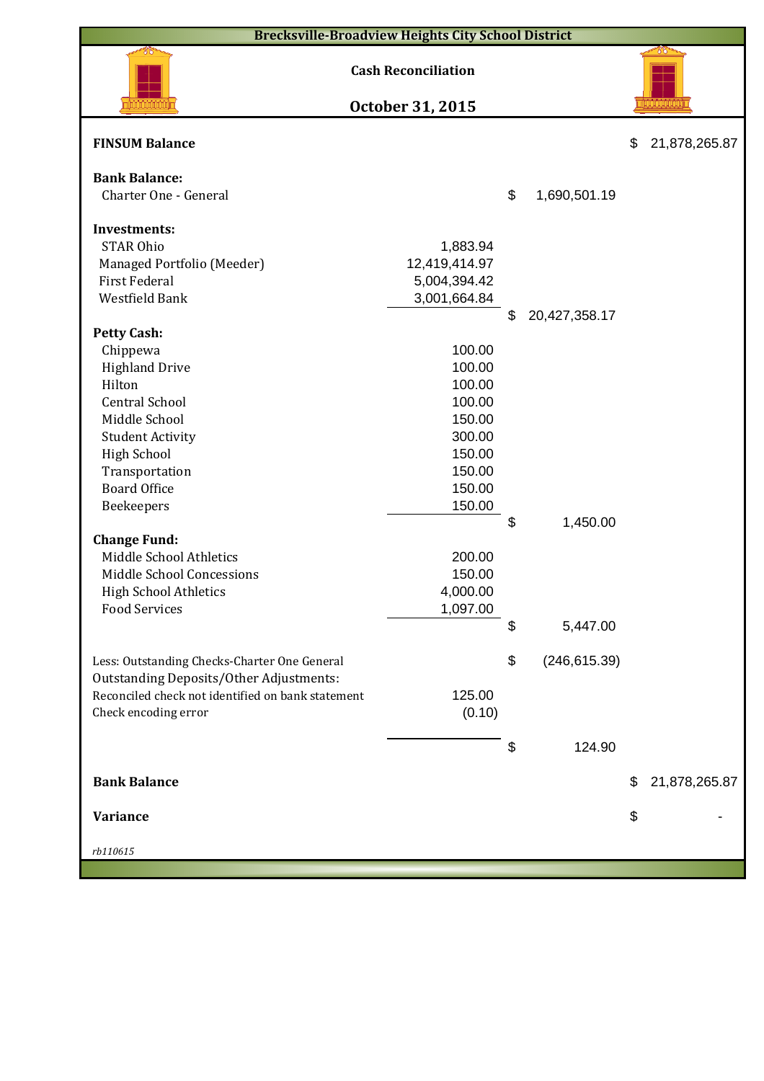| <b>Brecksville-Broadview Heights City School District</b> |                            |    |               |    |               |  |  |  |  |  |
|-----------------------------------------------------------|----------------------------|----|---------------|----|---------------|--|--|--|--|--|
|                                                           | <b>Cash Reconciliation</b> |    |               |    |               |  |  |  |  |  |
|                                                           | October 31, 2015           |    |               |    |               |  |  |  |  |  |
| <b>FINSUM Balance</b>                                     |                            |    |               | \$ | 21,878,265.87 |  |  |  |  |  |
| <b>Bank Balance:</b>                                      |                            |    |               |    |               |  |  |  |  |  |
| Charter One - General                                     |                            | \$ | 1,690,501.19  |    |               |  |  |  |  |  |
|                                                           |                            |    |               |    |               |  |  |  |  |  |
| <b>Investments:</b>                                       |                            |    |               |    |               |  |  |  |  |  |
| <b>STAR Ohio</b>                                          | 1,883.94                   |    |               |    |               |  |  |  |  |  |
| Managed Portfolio (Meeder)                                | 12,419,414.97              |    |               |    |               |  |  |  |  |  |
| <b>First Federal</b>                                      | 5,004,394.42               |    |               |    |               |  |  |  |  |  |
| Westfield Bank                                            | 3,001,664.84               |    |               |    |               |  |  |  |  |  |
|                                                           |                            | \$ | 20,427,358.17 |    |               |  |  |  |  |  |
| <b>Petty Cash:</b>                                        |                            |    |               |    |               |  |  |  |  |  |
| Chippewa                                                  | 100.00<br>100.00           |    |               |    |               |  |  |  |  |  |
| <b>Highland Drive</b><br>Hilton                           |                            |    |               |    |               |  |  |  |  |  |
| <b>Central School</b>                                     | 100.00<br>100.00           |    |               |    |               |  |  |  |  |  |
|                                                           | 150.00                     |    |               |    |               |  |  |  |  |  |
| Middle School                                             |                            |    |               |    |               |  |  |  |  |  |
| <b>Student Activity</b>                                   | 300.00<br>150.00           |    |               |    |               |  |  |  |  |  |
| <b>High School</b>                                        | 150.00                     |    |               |    |               |  |  |  |  |  |
| Transportation<br><b>Board Office</b>                     | 150.00                     |    |               |    |               |  |  |  |  |  |
|                                                           | 150.00                     |    |               |    |               |  |  |  |  |  |
| Beekeepers                                                |                            | \$ | 1,450.00      |    |               |  |  |  |  |  |
| <b>Change Fund:</b>                                       |                            |    |               |    |               |  |  |  |  |  |
| Middle School Athletics                                   | 200.00                     |    |               |    |               |  |  |  |  |  |
| Middle School Concessions                                 | 150.00                     |    |               |    |               |  |  |  |  |  |
| <b>High School Athletics</b>                              | 4,000.00                   |    |               |    |               |  |  |  |  |  |
| <b>Food Services</b>                                      | 1,097.00                   |    |               |    |               |  |  |  |  |  |
|                                                           |                            | \$ | 5,447.00      |    |               |  |  |  |  |  |
|                                                           |                            |    |               |    |               |  |  |  |  |  |
| Less: Outstanding Checks-Charter One General              |                            | \$ | (246, 615.39) |    |               |  |  |  |  |  |
| Outstanding Deposits/Other Adjustments:                   |                            |    |               |    |               |  |  |  |  |  |
| Reconciled check not identified on bank statement         | 125.00                     |    |               |    |               |  |  |  |  |  |
| Check encoding error                                      | (0.10)                     |    |               |    |               |  |  |  |  |  |
|                                                           |                            |    |               |    |               |  |  |  |  |  |
|                                                           |                            | \$ | 124.90        |    |               |  |  |  |  |  |
| <b>Bank Balance</b>                                       |                            |    |               | \$ | 21,878,265.87 |  |  |  |  |  |
|                                                           |                            |    |               |    |               |  |  |  |  |  |
| Variance                                                  |                            |    |               | \$ |               |  |  |  |  |  |
| rb110615                                                  |                            |    |               |    |               |  |  |  |  |  |
|                                                           |                            |    |               |    |               |  |  |  |  |  |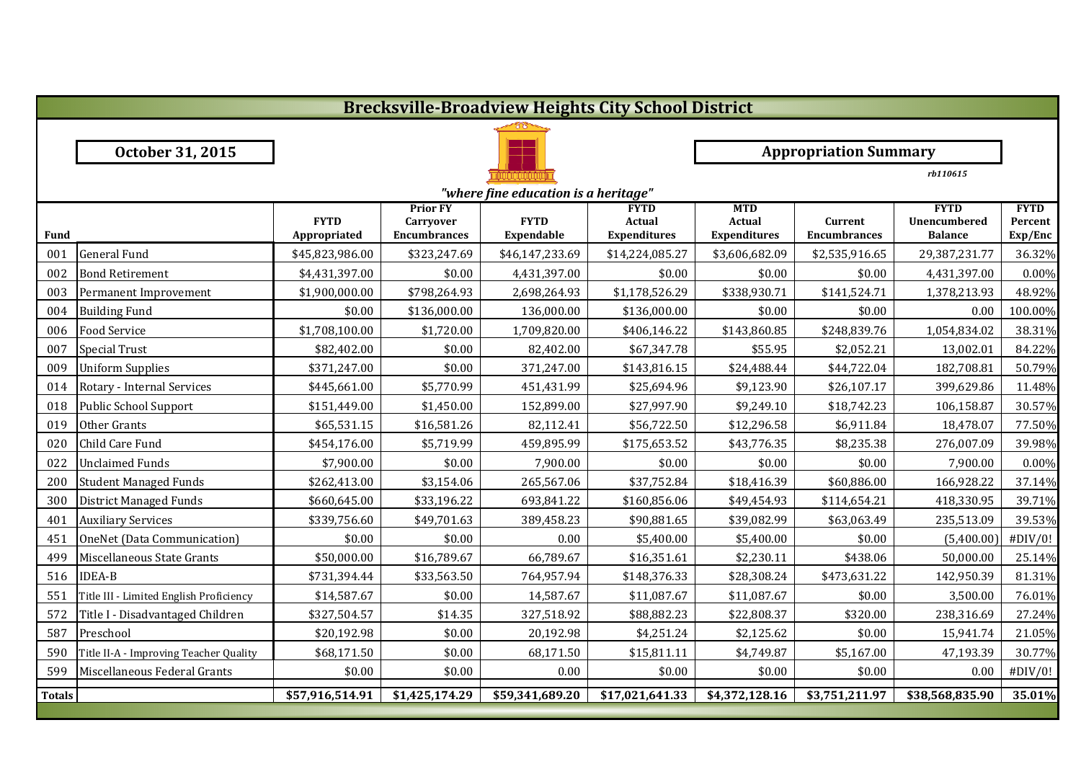|               | <b>Brecksville-Broadview Heights City School District</b> |                             |                                                            |                           |                                              |                                                    |                                |                                               |                                   |  |  |  |
|---------------|-----------------------------------------------------------|-----------------------------|------------------------------------------------------------|---------------------------|----------------------------------------------|----------------------------------------------------|--------------------------------|-----------------------------------------------|-----------------------------------|--|--|--|
|               |                                                           |                             |                                                            |                           |                                              |                                                    |                                |                                               |                                   |  |  |  |
|               | October 31, 2015                                          |                             |                                                            |                           |                                              |                                                    | <b>Appropriation Summary</b>   |                                               |                                   |  |  |  |
|               |                                                           |                             |                                                            |                           |                                              |                                                    |                                | rb110615                                      |                                   |  |  |  |
|               | "where fine education is a heritage"                      |                             |                                                            |                           |                                              |                                                    |                                |                                               |                                   |  |  |  |
| <b>Fund</b>   |                                                           | <b>FYTD</b><br>Appropriated | <b>Prior FY</b><br><b>Carryover</b><br><b>Encumbrances</b> | <b>FYTD</b><br>Expendable | <b>FYTD</b><br>Actual<br><b>Expenditures</b> | <b>MTD</b><br><b>Actual</b><br><b>Expenditures</b> | Current<br><b>Encumbrances</b> | <b>FYTD</b><br>Unencumbered<br><b>Balance</b> | <b>FYTD</b><br>Percent<br>Exp/Enc |  |  |  |
| 001           | <b>General Fund</b>                                       | \$45,823,986.00             | \$323,247.69                                               | \$46,147,233.69           | \$14,224,085.27                              | \$3,606,682.09                                     | \$2,535,916.65                 | 29,387,231.77                                 | 36.32%                            |  |  |  |
| 002           | <b>Bond Retirement</b>                                    | \$4,431,397.00              | \$0.00                                                     | 4,431,397.00              | \$0.00                                       | \$0.00                                             | \$0.00                         | 4,431,397.00                                  | 0.00%                             |  |  |  |
| 003           | Permanent Improvement                                     | \$1,900,000.00              | \$798,264.93                                               | 2,698,264.93              | \$1,178,526.29                               | \$338,930.71                                       | \$141,524.71                   | 1,378,213.93                                  | 48.92%                            |  |  |  |
| 004           | <b>Building Fund</b>                                      | \$0.00                      | \$136,000.00                                               | 136,000.00                | \$136,000.00                                 | \$0.00                                             | \$0.00                         | 0.00                                          | 100.00%                           |  |  |  |
| 006           | <b>Food Service</b>                                       | \$1,708,100.00              | \$1,720.00                                                 | 1,709,820.00              | \$406,146.22                                 | \$143,860.85                                       | \$248,839.76                   | 1,054,834.02                                  | 38.31%                            |  |  |  |
| 007           | <b>Special Trust</b>                                      | \$82,402.00                 | \$0.00                                                     | 82,402.00                 | \$67,347.78                                  | \$55.95                                            | \$2,052.21                     | 13,002.01                                     | 84.22%                            |  |  |  |
| 009           | <b>Uniform Supplies</b>                                   | \$371,247.00                | \$0.00                                                     | 371,247.00                | \$143,816.15                                 | \$24,488.44                                        | \$44,722.04                    | 182,708.81                                    | 50.79%                            |  |  |  |
| 014           | Rotary - Internal Services                                | \$445,661.00                | \$5,770.99                                                 | 451,431.99                | \$25,694.96                                  | \$9,123.90                                         | \$26,107.17                    | 399,629.86                                    | 11.48%                            |  |  |  |
| 018           | Public School Support                                     | \$151,449.00                | \$1,450.00                                                 | 152,899.00                | \$27,997.90                                  | \$9,249.10                                         | \$18,742.23                    | 106,158.87                                    | 30.57%                            |  |  |  |
| 019           | Other Grants                                              | \$65,531.15                 | \$16,581.26                                                | 82,112.41                 | \$56,722.50                                  | \$12,296.58                                        | \$6,911.84                     | 18,478.07                                     | 77.50%                            |  |  |  |
| 020           | Child Care Fund                                           | \$454,176.00                | \$5,719.99                                                 | 459,895.99                | \$175,653.52                                 | \$43,776.35                                        | \$8,235.38                     | 276,007.09                                    | 39.98%                            |  |  |  |
| 022           | <b>Unclaimed Funds</b>                                    | \$7,900.00                  | \$0.00                                                     | 7,900.00                  | \$0.00                                       | \$0.00                                             | \$0.00                         | 7,900.00                                      | 0.00%                             |  |  |  |
| 200           | <b>Student Managed Funds</b>                              | \$262,413.00                | \$3,154.06                                                 | 265,567.06                | \$37,752.84                                  | \$18,416.39                                        | \$60,886.00                    | 166,928.22                                    | 37.14%                            |  |  |  |
| 300           | District Managed Funds                                    | \$660,645.00                | \$33,196.22                                                | 693,841.22                | \$160,856.06                                 | \$49,454.93                                        | \$114,654.21                   | 418,330.95                                    | 39.71%                            |  |  |  |
| 401           | <b>Auxiliary Services</b>                                 | \$339,756.60                | \$49,701.63                                                | 389,458.23                | \$90,881.65                                  | \$39,082.99                                        | \$63,063.49                    | 235,513.09                                    | 39.53%                            |  |  |  |
| 451           | OneNet (Data Communication)                               | \$0.00                      | \$0.00                                                     | 0.00                      | \$5,400.00                                   | \$5,400.00                                         | \$0.00                         | (5,400.00)                                    | #DIV/0!                           |  |  |  |
| 499           | Miscellaneous State Grants                                | \$50,000.00                 | \$16,789.67                                                | 66,789.67                 | \$16,351.61                                  | \$2,230.11                                         | \$438.06                       | 50,000.00                                     | 25.14%                            |  |  |  |
| 516           | <b>IDEA-B</b>                                             | \$731,394.44                | \$33,563.50                                                | 764,957.94                | \$148,376.33                                 | \$28,308.24                                        | \$473,631.22                   | 142,950.39                                    | 81.31%                            |  |  |  |
| 551           | Title III - Limited English Proficiency                   | \$14,587.67                 | \$0.00                                                     | 14,587.67                 | \$11,087.67                                  | \$11,087.67                                        | \$0.00                         | 3,500.00                                      | 76.01%                            |  |  |  |
| 572           | Title I - Disadvantaged Children                          | \$327,504.57                | \$14.35                                                    | 327,518.92                | \$88,882.23                                  | \$22,808.37                                        | \$320.00                       | 238,316.69                                    | 27.24%                            |  |  |  |
| 587           | Preschool                                                 | \$20,192.98                 | \$0.00                                                     | 20,192.98                 | \$4,251.24                                   | \$2,125.62                                         | \$0.00                         | 15,941.74                                     | 21.05%                            |  |  |  |
| 590           | Title II-A - Improving Teacher Quality                    | \$68,171.50                 | \$0.00                                                     | 68,171.50                 | \$15,811.11                                  | \$4,749.87                                         | \$5,167.00                     | 47,193.39                                     | 30.77%                            |  |  |  |
| 599           | Miscellaneous Federal Grants                              | \$0.00                      | \$0.00                                                     | 0.00                      | \$0.00                                       | \$0.00                                             | \$0.00                         | 0.00                                          | #DIV/0!                           |  |  |  |
| <b>Totals</b> |                                                           | \$57,916,514.91             | \$1,425,174.29                                             | \$59,341,689.20           | \$17,021,641.33                              | \$4,372,128.16                                     | \$3,751,211.97                 | \$38,568,835.90                               | 35.01%                            |  |  |  |